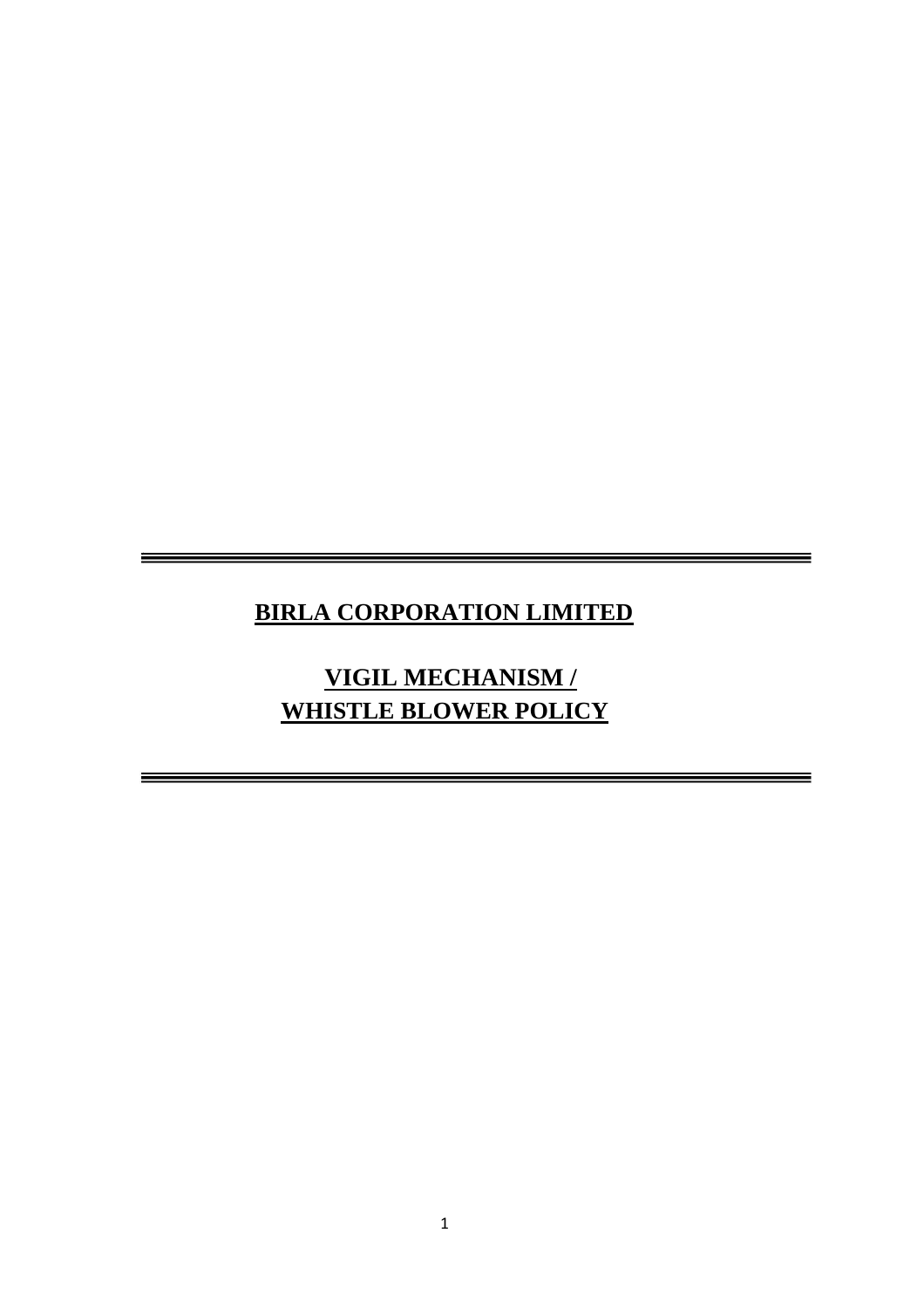# **BIRLA CORPORATION LIMITED**

**VIGIL MECHANISM / WHISTLE BLOWER POLICY**

<u> Andreas Andreas Andreas Andreas Andreas Andreas Andreas Andreas Andreas Andreas Andreas Andreas Andreas Andreas Andreas Andreas Andreas Andreas Andreas Andreas Andreas Andreas Andreas Andreas Andreas Andreas Andreas Andr</u>

an di sebagai kecamatan Sebagai Kecamatan Sebagai Kecamatan Sebagai Kecamatan Sebagai Kecamatan Sebagai Kecama<br>Sejarah Sebagai Kecamatan Sebagai Kecamatan Sebagai Kecamatan Sebagai Kecamatan Sebagai Kecamatan Sebagai Keca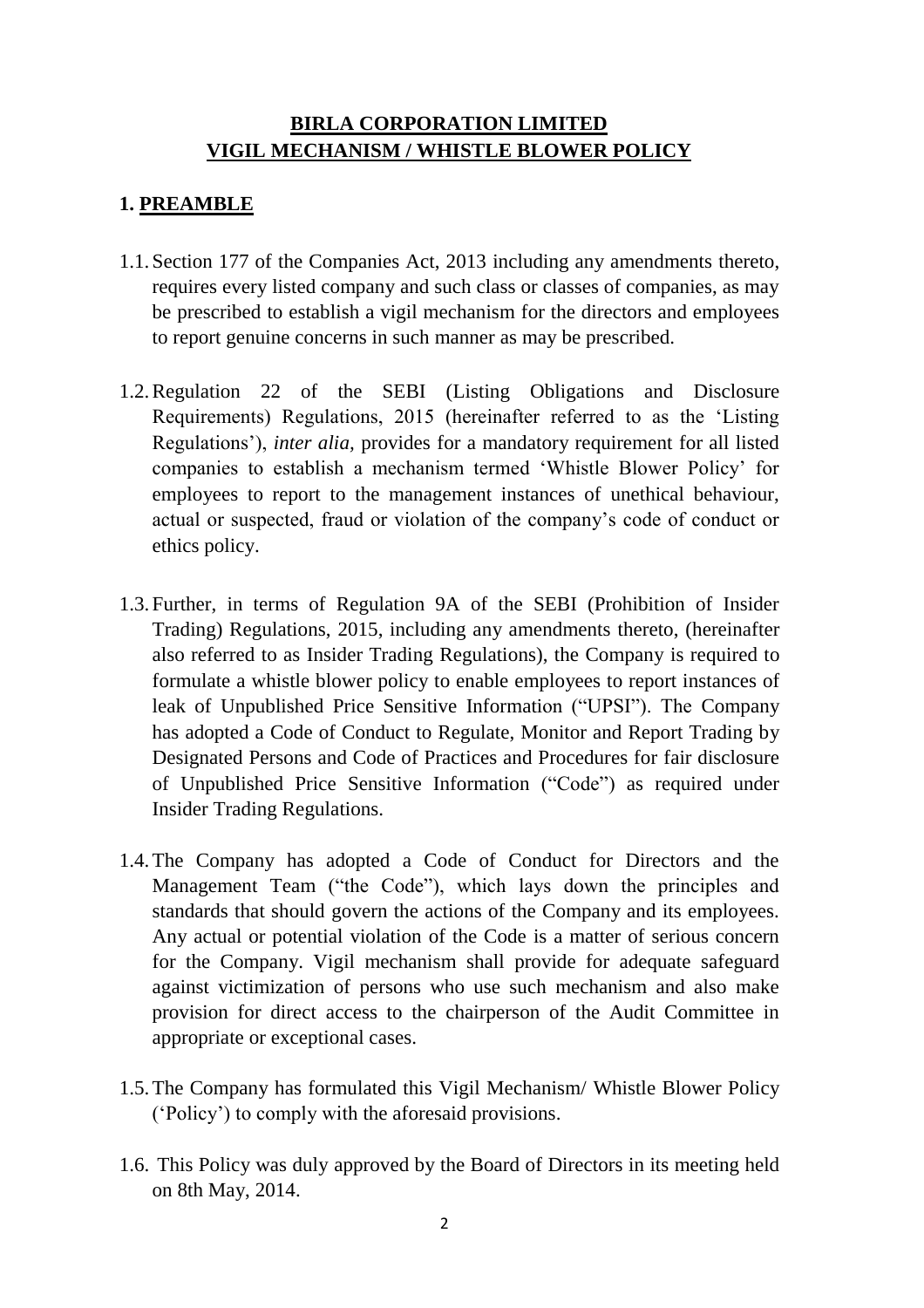### **BIRLA CORPORATION LIMITED VIGIL MECHANISM / WHISTLE BLOWER POLICY**

### **1. PREAMBLE**

- 1.1.Section 177 of the Companies Act, 2013 including any amendments thereto, requires every listed company and such class or classes of companies, as may be prescribed to establish a vigil mechanism for the directors and employees to report genuine concerns in such manner as may be prescribed.
- 1.2.Regulation 22 of the SEBI (Listing Obligations and Disclosure Requirements) Regulations, 2015 (hereinafter referred to as the 'Listing Regulations'), *inter alia,* provides for a mandatory requirement for all listed companies to establish a mechanism termed 'Whistle Blower Policy' for employees to report to the management instances of unethical behaviour, actual or suspected, fraud or violation of the company's code of conduct or ethics policy.
- 1.3.Further, in terms of Regulation 9A of the SEBI (Prohibition of Insider Trading) Regulations, 2015, including any amendments thereto, (hereinafter also referred to as Insider Trading Regulations), the Company is required to formulate a whistle blower policy to enable employees to report instances of leak of Unpublished Price Sensitive Information ("UPSI"). The Company has adopted a Code of Conduct to Regulate, Monitor and Report Trading by Designated Persons and Code of Practices and Procedures for fair disclosure of Unpublished Price Sensitive Information ("Code") as required under Insider Trading Regulations.
- 1.4.The Company has adopted a Code of Conduct for Directors and the Management Team ("the Code"), which lays down the principles and standards that should govern the actions of the Company and its employees. Any actual or potential violation of the Code is a matter of serious concern for the Company. Vigil mechanism shall provide for adequate safeguard against victimization of persons who use such mechanism and also make provision for direct access to the chairperson of the Audit Committee in appropriate or exceptional cases.
- 1.5.The Company has formulated this Vigil Mechanism/ Whistle Blower Policy ('Policy') to comply with the aforesaid provisions.
- 1.6. This Policy was duly approved by the Board of Directors in its meeting held on 8th May, 2014.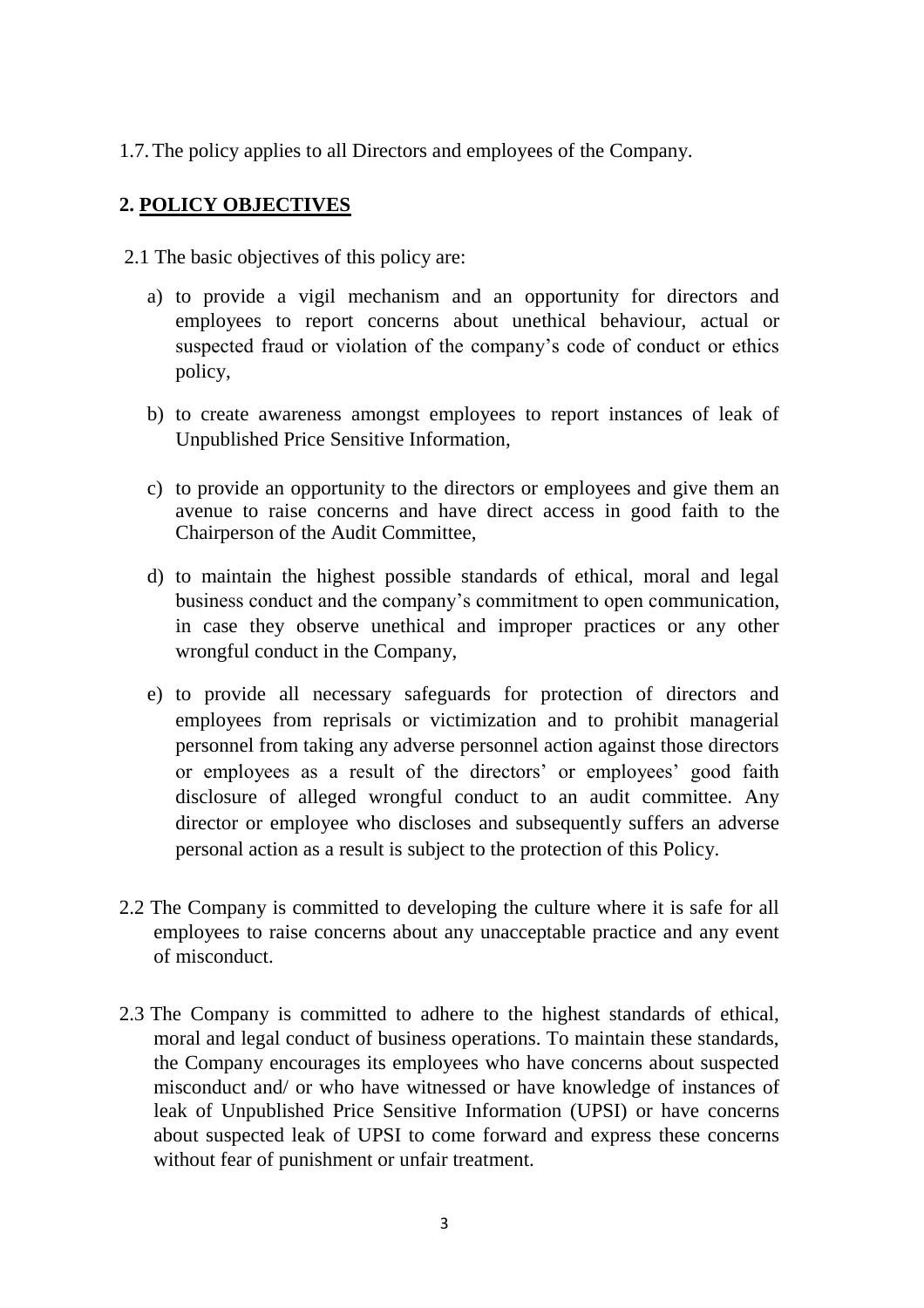1.7.The policy applies to all Directors and employees of the Company.

# **2. POLICY OBJECTIVES**

2.1 The basic objectives of this policy are:

- a) to provide a vigil mechanism and an opportunity for directors and employees to report concerns about unethical behaviour, actual or suspected fraud or violation of the company's code of conduct or ethics policy,
- b) to create awareness amongst employees to report instances of leak of Unpublished Price Sensitive Information,
- c) to provide an opportunity to the directors or employees and give them an avenue to raise concerns and have direct access in good faith to the Chairperson of the Audit Committee,
- d) to maintain the highest possible standards of ethical, moral and legal business conduct and the company's commitment to open communication, in case they observe unethical and improper practices or any other wrongful conduct in the Company,
- e) to provide all necessary safeguards for protection of directors and employees from reprisals or victimization and to prohibit managerial personnel from taking any adverse personnel action against those directors or employees as a result of the directors' or employees' good faith disclosure of alleged wrongful conduct to an audit committee. Any director or employee who discloses and subsequently suffers an adverse personal action as a result is subject to the protection of this Policy.
- 2.2 The Company is committed to developing the culture where it is safe for all employees to raise concerns about any unacceptable practice and any event of misconduct.
- 2.3 The Company is committed to adhere to the highest standards of ethical, moral and legal conduct of business operations. To maintain these standards, the Company encourages its employees who have concerns about suspected misconduct and/ or who have witnessed or have knowledge of instances of leak of Unpublished Price Sensitive Information (UPSI) or have concerns about suspected leak of UPSI to come forward and express these concerns without fear of punishment or unfair treatment.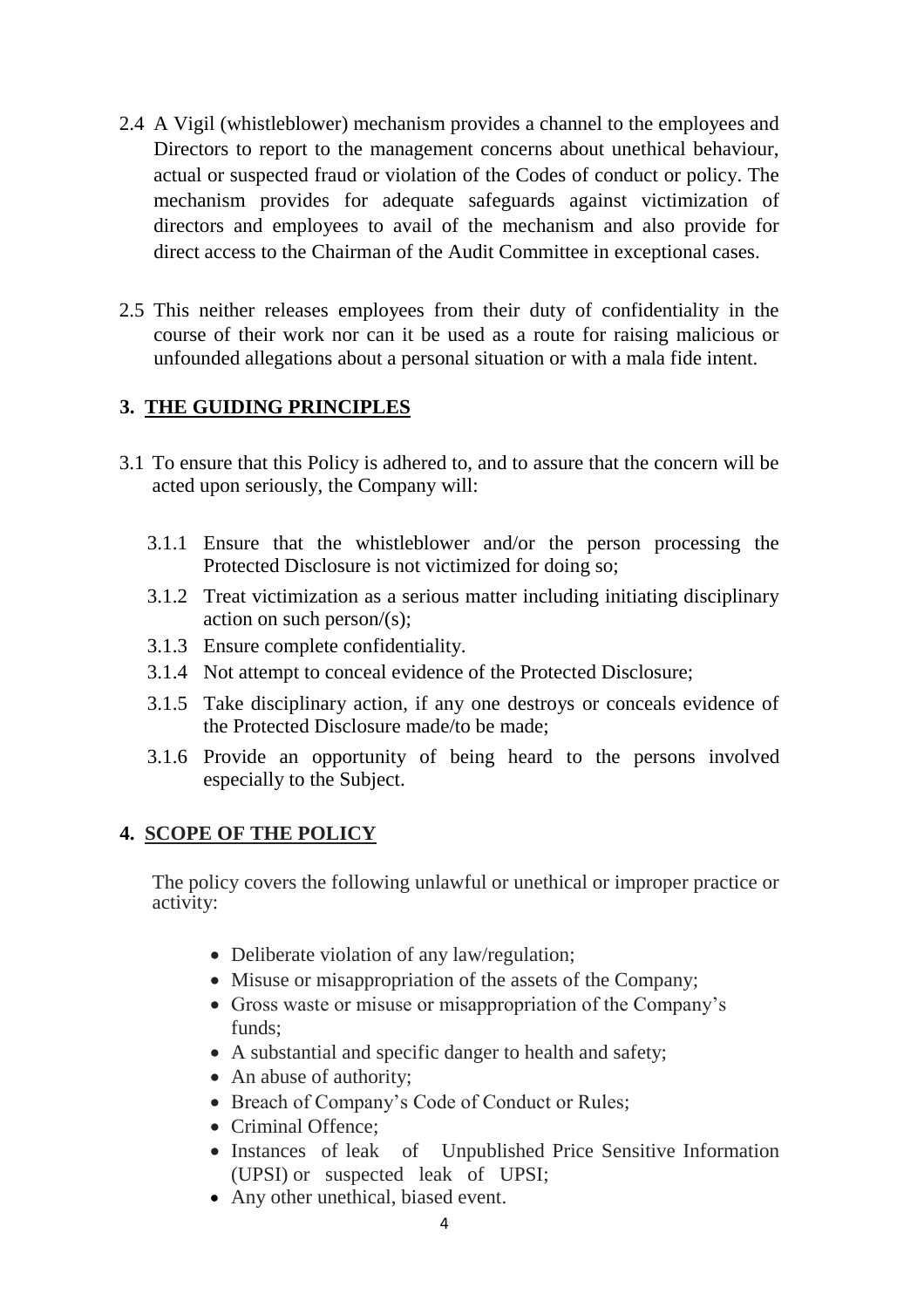- 2.4 A Vigil (whistleblower) mechanism provides a channel to the employees and Directors to report to the management concerns about unethical behaviour, actual or suspected fraud or violation of the Codes of conduct or policy. The mechanism provides for adequate safeguards against victimization of directors and employees to avail of the mechanism and also provide for direct access to the Chairman of the Audit Committee in exceptional cases.
- 2.5 This neither releases employees from their duty of confidentiality in the course of their work nor can it be used as a route for raising malicious or unfounded allegations about a personal situation or with a mala fide intent.

# **3. THE GUIDING PRINCIPLES**

- 3.1 To ensure that this Policy is adhered to, and to assure that the concern will be acted upon seriously, the Company will:
	- 3.1.1 Ensure that the whistleblower and/or the person processing the Protected Disclosure is not victimized for doing so;
	- 3.1.2 Treat victimization as a serious matter including initiating disciplinary action on such person/(s);
	- 3.1.3 Ensure complete confidentiality.
	- 3.1.4 Not attempt to conceal evidence of the Protected Disclosure;
	- 3.1.5 Take disciplinary action, if any one destroys or conceals evidence of the Protected Disclosure made/to be made;
	- 3.1.6 Provide an opportunity of being heard to the persons involved especially to the Subject.

# **4. SCOPE OF THE POLICY**

The policy covers the following unlawful or unethical or improper practice or activity:

- Deliberate violation of any law/regulation;
- Misuse or misappropriation of the assets of the Company;
- Gross waste or misuse or misappropriation of the Company's funds;
- A substantial and specific danger to health and safety;
- An abuse of authority;
- Breach of Company's Code of Conduct or Rules;
- Criminal Offence;
- Instances of leak of Unpublished Price Sensitive Information (UPSI) or suspected leak of UPSI;
- Any other unethical, biased event.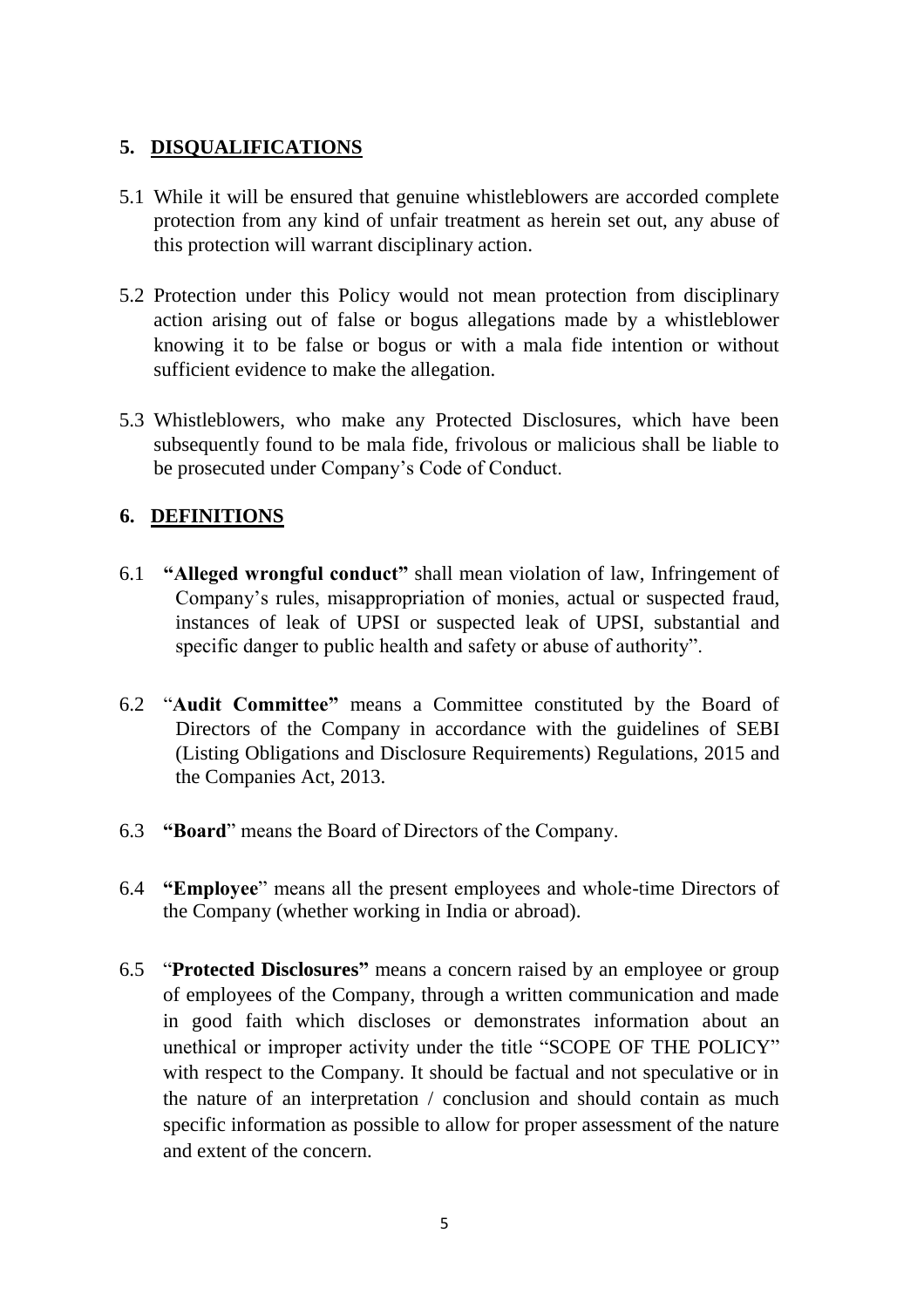## **5. DISQUALIFICATIONS**

- 5.1 While it will be ensured that genuine whistleblowers are accorded complete protection from any kind of unfair treatment as herein set out, any abuse of this protection will warrant disciplinary action.
- 5.2 Protection under this Policy would not mean protection from disciplinary action arising out of false or bogus allegations made by a whistleblower knowing it to be false or bogus or with a mala fide intention or without sufficient evidence to make the allegation.
- 5.3 Whistleblowers, who make any Protected Disclosures, which have been subsequently found to be mala fide, frivolous or malicious shall be liable to be prosecuted under Company's Code of Conduct.

#### **6. DEFINITIONS**

- 6.1 **"Alleged wrongful conduct"** shall mean violation of law, Infringement of Company's rules, misappropriation of monies, actual or suspected fraud, instances of leak of UPSI or suspected leak of UPSI, substantial and specific danger to public health and safety or abuse of authority".
- 6.2 "**Audit Committee"** means a Committee constituted by the Board of Directors of the Company in accordance with the guidelines of SEBI (Listing Obligations and Disclosure Requirements) Regulations, 2015 and the Companies Act, 2013.
- 6.3 **"Board**" means the Board of Directors of the Company.
- 6.4 **"Employee**" means all the present employees and whole-time Directors of the Company (whether working in India or abroad).
- 6.5 "**Protected Disclosures"** means a concern raised by an employee or group of employees of the Company, through a written communication and made in good faith which discloses or demonstrates information about an unethical or improper activity under the title "SCOPE OF THE POLICY" with respect to the Company. It should be factual and not speculative or in the nature of an interpretation / conclusion and should contain as much specific information as possible to allow for proper assessment of the nature and extent of the concern.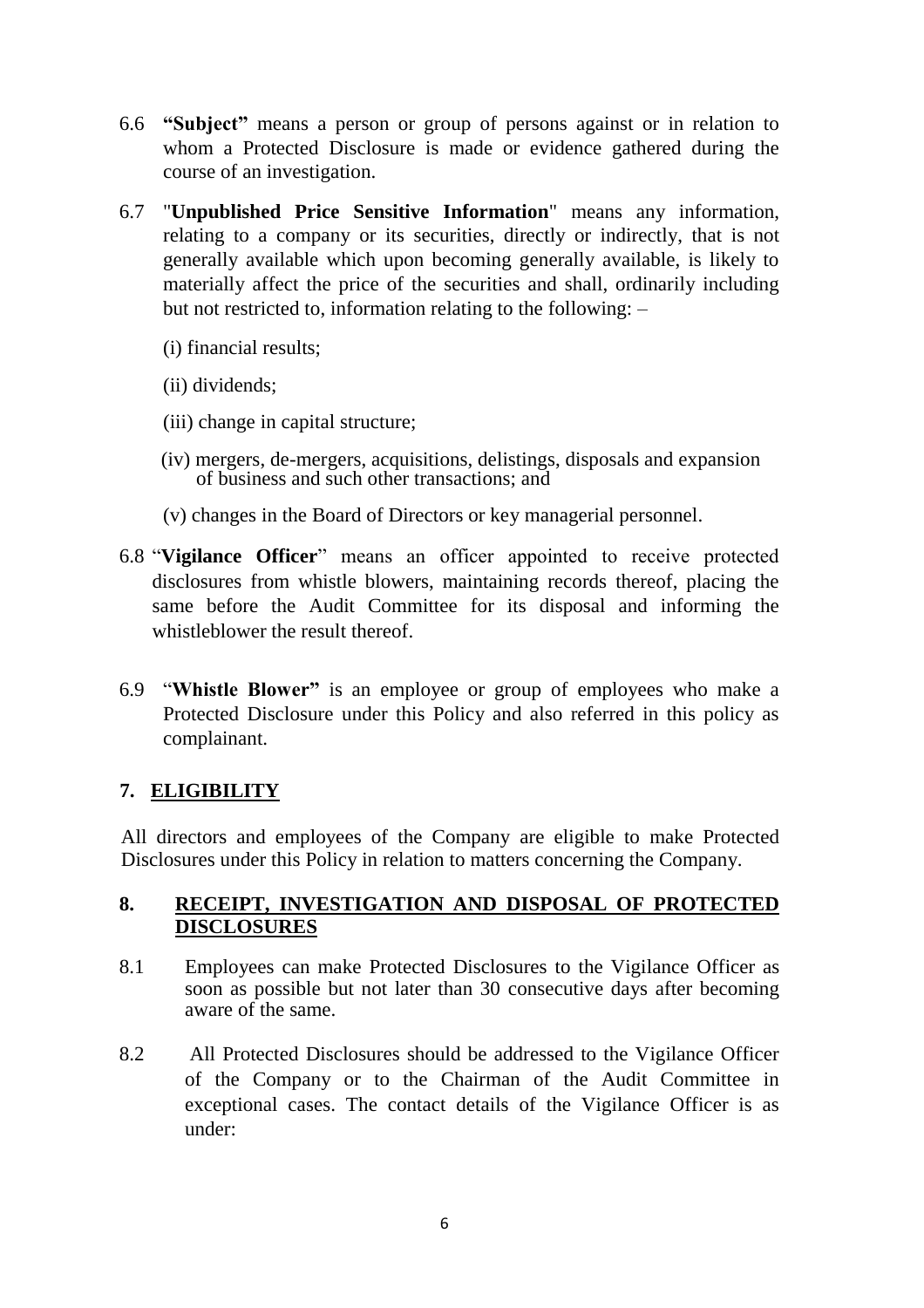- 6.6 **"Subject"** means a person or group of persons against or in relation to whom a Protected Disclosure is made or evidence gathered during the course of an investigation.
- 6.7 "**Unpublished Price Sensitive Information**" means any information, relating to a company or its securities, directly or indirectly, that is not generally available which upon becoming generally available, is likely to materially affect the price of the securities and shall, ordinarily including but not restricted to, information relating to the following: –
	- (i) financial results;
	- (ii) dividends;
	- (iii) change in capital structure;
	- (iv) mergers, de-mergers, acquisitions, delistings, disposals and expansion of business and such other transactions; and
	- (v) changes in the Board of Directors or key managerial personnel.
- 6.8 "**Vigilance Officer**" means an officer appointed to receive protected disclosures from whistle blowers, maintaining records thereof, placing the same before the Audit Committee for its disposal and informing the whistleblower the result thereof.
- 6.9 "**Whistle Blower"** is an employee or group of employees who make a Protected Disclosure under this Policy and also referred in this policy as complainant.

## **7. ELIGIBILITY**

All directors and employees of the Company are eligible to make Protected Disclosures under this Policy in relation to matters concerning the Company.

#### **8. RECEIPT, INVESTIGATION AND DISPOSAL OF PROTECTED DISCLOSURES**

- 8.1 Employees can make Protected Disclosures to the Vigilance Officer as soon as possible but not later than 30 consecutive days after becoming aware of the same.
- 8.2 All Protected Disclosures should be addressed to the Vigilance Officer of the Company or to the Chairman of the Audit Committee in exceptional cases. The contact details of the Vigilance Officer is as under: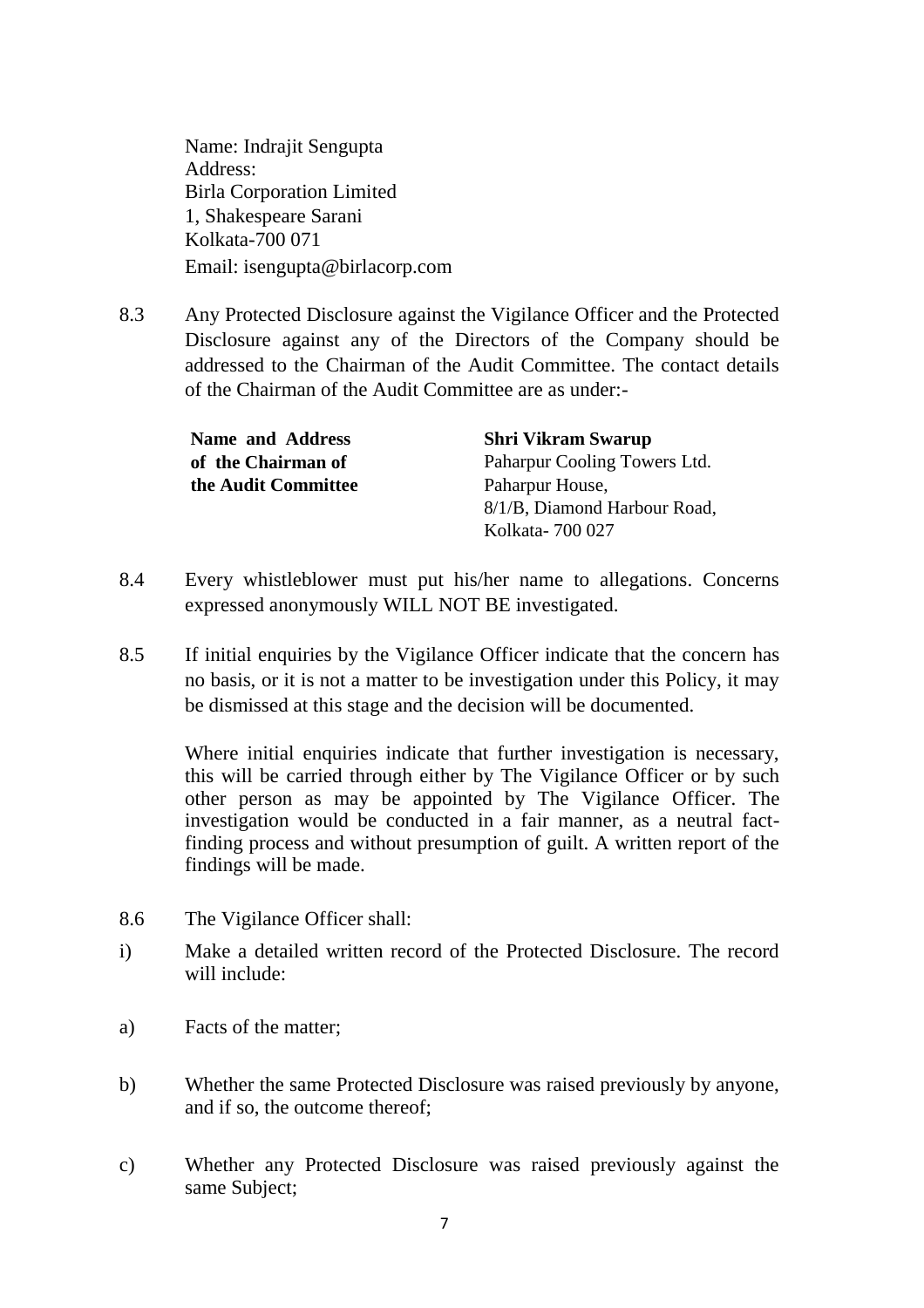Name: Indrajit Sengupta Address: Birla Corporation Limited 1, Shakespeare Sarani Kolkata-700 071 Email: isengupta@birlacorp.com

8.3 Any Protected Disclosure against the Vigilance Officer and the Protected Disclosure against any of the Directors of the Company should be addressed to the Chairman of the Audit Committee. The contact details of the Chairman of the Audit Committee are as under:-

**Name and Address of the Chairman of the Audit Committee** **Shri Vikram Swarup** Paharpur Cooling Towers Ltd. Paharpur House, 8/1/B, Diamond Harbour Road, Kolkata- 700 027

- 8.4 Every whistleblower must put his/her name to allegations. Concerns expressed anonymously WILL NOT BE investigated.
- 8.5 If initial enquiries by the Vigilance Officer indicate that the concern has no basis, or it is not a matter to be investigation under this Policy, it may be dismissed at this stage and the decision will be documented.

Where initial enquiries indicate that further investigation is necessary, this will be carried through either by The Vigilance Officer or by such other person as may be appointed by The Vigilance Officer. The investigation would be conducted in a fair manner, as a neutral factfinding process and without presumption of guilt. A written report of the findings will be made.

- 8.6 The Vigilance Officer shall:
- i) Make a detailed written record of the Protected Disclosure. The record will include:
- a) Facts of the matter;
- b) Whether the same Protected Disclosure was raised previously by anyone, and if so, the outcome thereof;
- c) Whether any Protected Disclosure was raised previously against the same Subject;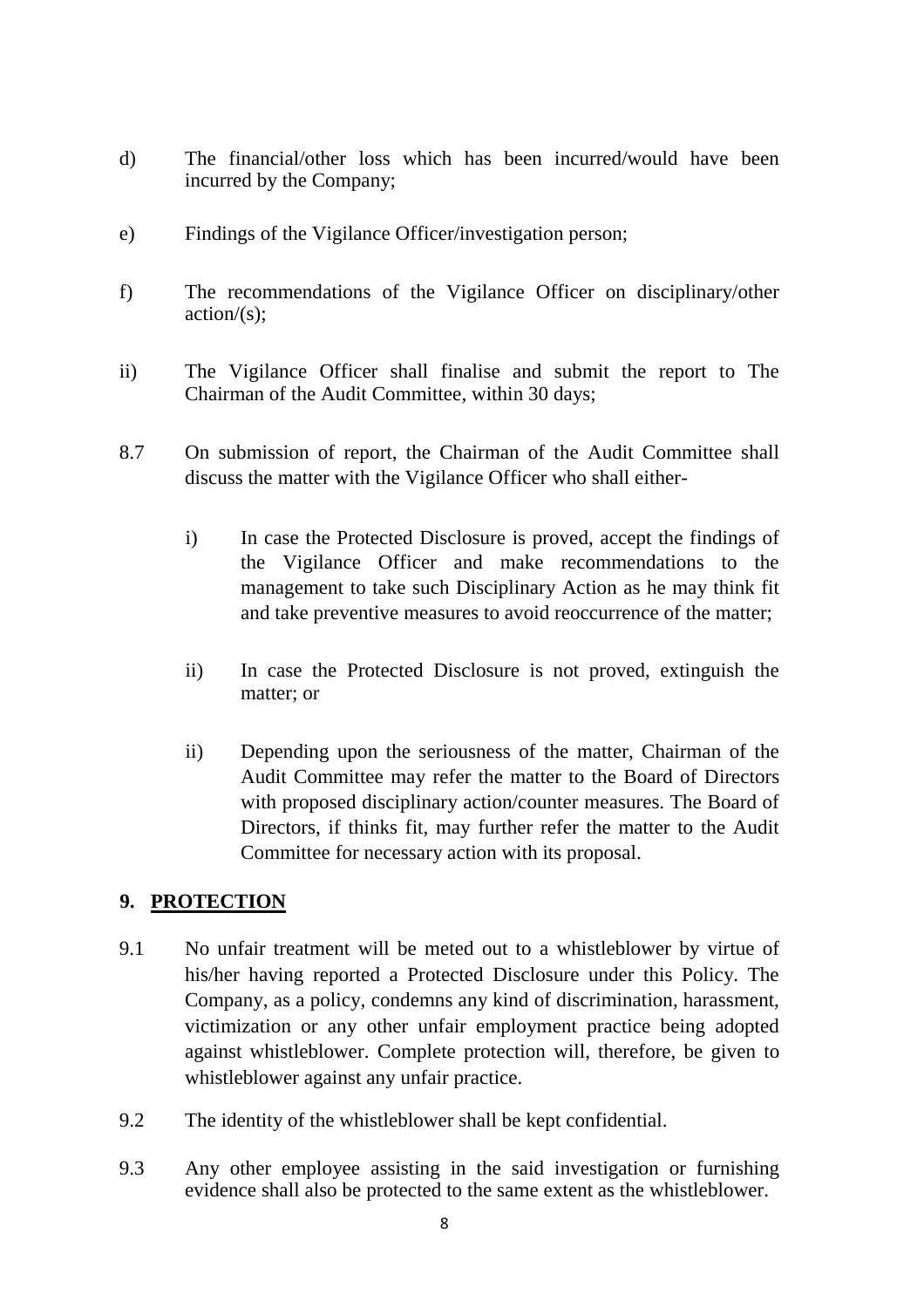- d) The financial/other loss which has been incurred/would have been incurred by the Company;
- e) Findings of the Vigilance Officer/investigation person;
- f) The recommendations of the Vigilance Officer on disciplinary/other  $action/(s)$ ;
- ii) The Vigilance Officer shall finalise and submit the report to The Chairman of the Audit Committee, within 30 days;
- 8.7 On submission of report, the Chairman of the Audit Committee shall discuss the matter with the Vigilance Officer who shall either
	- i) In case the Protected Disclosure is proved, accept the findings of the Vigilance Officer and make recommendations to the management to take such Disciplinary Action as he may think fit and take preventive measures to avoid reoccurrence of the matter;
	- ii) In case the Protected Disclosure is not proved, extinguish the matter; or
	- ii) Depending upon the seriousness of the matter, Chairman of the Audit Committee may refer the matter to the Board of Directors with proposed disciplinary action/counter measures. The Board of Directors, if thinks fit, may further refer the matter to the Audit Committee for necessary action with its proposal.

## **9. PROTECTION**

- 9.1 No unfair treatment will be meted out to a whistleblower by virtue of his/her having reported a Protected Disclosure under this Policy. The Company, as a policy, condemns any kind of discrimination, harassment, victimization or any other unfair employment practice being adopted against whistleblower. Complete protection will, therefore, be given to whistleblower against any unfair practice.
- 9.2 The identity of the whistleblower shall be kept confidential.
- 9.3 Any other employee assisting in the said investigation or furnishing evidence shall also be protected to the same extent as the whistleblower.